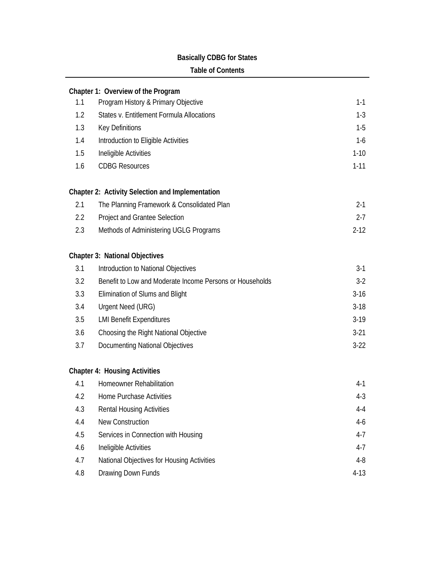## **Basically CDBG for States**

#### **Table of Contents**

|                   | Chapter 1: Overview of the Program                       |          |
|-------------------|----------------------------------------------------------|----------|
| 1.1               | Program History & Primary Objective                      | $1 - 1$  |
| 1.2               | States v. Entitlement Formula Allocations                | $1-3$    |
| 1.3               | Key Definitions                                          | $1-5$    |
| 1.4               | Introduction to Eligible Activities                      | $1-6$    |
| 1.5               | Ineligible Activities                                    | $1 - 10$ |
| 1.6               | <b>CDBG Resources</b>                                    | $1 - 11$ |
|                   | Chapter 2: Activity Selection and Implementation         |          |
| 2.1               | The Planning Framework & Consolidated Plan               | $2 - 1$  |
| $2.2\overline{ }$ | Project and Grantee Selection                            | $2 - 7$  |
| 2.3               | Methods of Administering UGLG Programs                   | $2 - 12$ |
|                   | <b>Chapter 3: National Objectives</b>                    |          |
| 3.1               | Introduction to National Objectives                      | $3-1$    |
| 3.2               | Benefit to Low and Moderate Income Persons or Households | $3-2$    |
| 3.3               | Elimination of Slums and Blight                          | $3-16$   |
| 3.4               | Urgent Need (URG)                                        | $3-18$   |
| 3.5               | <b>LMI Benefit Expenditures</b>                          | $3-19$   |
| 3.6               | Choosing the Right National Objective                    | $3-21$   |
| 3.7               | <b>Documenting National Objectives</b>                   | $3-22$   |
|                   | <b>Chapter 4: Housing Activities</b>                     |          |
| 4.1               | Homeowner Rehabilitation                                 | $4-1$    |
| 4.2               | <b>Home Purchase Activities</b>                          | $4 - 3$  |
| 4.3               | <b>Rental Housing Activities</b>                         | 4-4      |
| 4.4               | <b>New Construction</b>                                  | $4-6$    |
| 4.5               | Services in Connection with Housing                      | $4 - 7$  |
| 4.6               | Ineligible Activities                                    | $4 - 7$  |
| 4.7               | National Objectives for Housing Activities               | $4 - 8$  |
| 4.8               | Drawing Down Funds                                       | $4-13$   |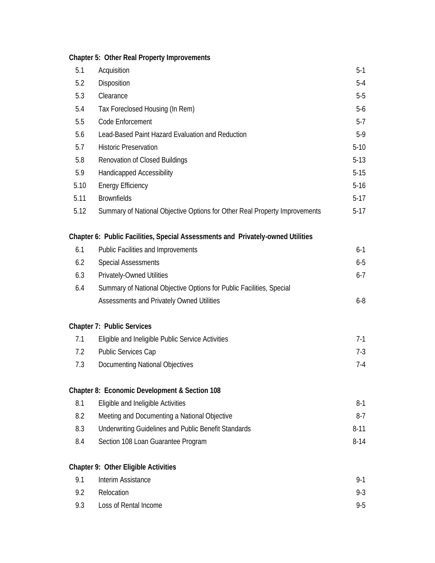# **Chapter 5: Other Real Property Improvements**

| 5.1  | Acquisition                                                                     | $5-1$    |
|------|---------------------------------------------------------------------------------|----------|
| 5.2  | Disposition                                                                     | $5 - 4$  |
| 5.3  | Clearance                                                                       | $5-5$    |
| 5.4  | Tax Foreclosed Housing (In Rem)                                                 | $5-6$    |
| 5.5  | Code Enforcement                                                                | $5 - 7$  |
| 5.6  | Lead-Based Paint Hazard Evaluation and Reduction                                | $5-9$    |
| 5.7  | <b>Historic Preservation</b>                                                    | $5 - 10$ |
| 5.8  | <b>Renovation of Closed Buildings</b>                                           | $5 - 13$ |
| 5.9  | Handicapped Accessibility                                                       | $5 - 15$ |
| 5.10 | <b>Energy Efficiency</b>                                                        | $5 - 16$ |
| 5.11 | <b>Brownfields</b>                                                              | $5 - 17$ |
| 5.12 | Summary of National Objective Options for Other Real Property Improvements      | $5 - 17$ |
|      | Chapter 6: Public Facilities, Special Assessments and Privately-owned Utilities |          |
| 6.1  | Public Facilities and Improvements                                              | $6 - 1$  |
| 6.2  | <b>Special Assessments</b>                                                      | $6-5$    |
| 6.3  | <b>Privately-Owned Utilities</b>                                                | $6 - 7$  |
| 6.4  | Summary of National Objective Options for Public Facilities, Special            |          |
|      | Assessments and Privately Owned Utilities                                       | $6 - 8$  |
|      | <b>Chapter 7: Public Services</b>                                               |          |
| 7.1  | Eligible and Ineligible Public Service Activities                               | $7-1$    |
| 7.2  | Public Services Cap                                                             | $7 - 3$  |
| 7.3  | <b>Documenting National Objectives</b>                                          | $7 - 4$  |
|      | Chapter 8: Economic Development & Section 108                                   |          |
| 8.1  | Eligible and Ineligible Activities                                              | $8-1$    |
| 8.2  | Meeting and Documenting a National Objective                                    | $8 - 7$  |
| 8.3  | <b>Underwriting Guidelines and Public Benefit Standards</b>                     | $8 - 11$ |
| 8.4  | Section 108 Loan Guarantee Program                                              | $8 - 14$ |
|      | Chapter 9: Other Eligible Activities                                            |          |
| 9.1  | Interim Assistance                                                              | $9 - 1$  |
| 9.2  | Relocation                                                                      | $9 - 3$  |
| 9.3  | Loss of Rental Income                                                           | $9 - 5$  |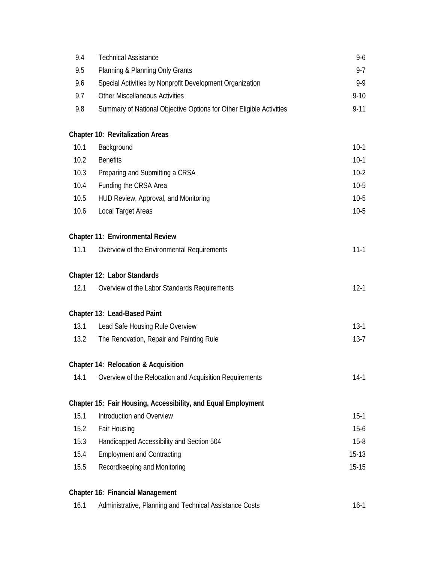| 9.4  | <b>Technical Assistance</b>                                         | $9 - 6$   |
|------|---------------------------------------------------------------------|-----------|
| 9.5  | Planning & Planning Only Grants                                     | $9 - 7$   |
| 9.6  | Special Activities by Nonprofit Development Organization            | $9 - 9$   |
| 9.7  | <b>Other Miscellaneous Activities</b>                               | $9 - 10$  |
| 9.8  | Summary of National Objective Options for Other Eligible Activities | $9 - 11$  |
|      | <b>Chapter 10: Revitalization Areas</b>                             |           |
| 10.1 | Background                                                          | $10-1$    |
| 10.2 | <b>Benefits</b>                                                     | $10-1$    |
| 10.3 | Preparing and Submitting a CRSA                                     | $10-2$    |
| 10.4 | Funding the CRSA Area                                               | $10-5$    |
| 10.5 | HUD Review, Approval, and Monitoring                                | $10-5$    |
| 10.6 | Local Target Areas                                                  | $10-5$    |
|      | Chapter 11: Environmental Review                                    |           |
| 11.1 | Overview of the Environmental Requirements                          | $11 - 1$  |
|      | Chapter 12: Labor Standards                                         |           |
| 12.1 | Overview of the Labor Standards Requirements                        | $12 - 1$  |
|      | Chapter 13: Lead-Based Paint                                        |           |
| 13.1 | Lead Safe Housing Rule Overview                                     | $13-1$    |
| 13.2 | The Renovation, Repair and Painting Rule                            | $13 - 7$  |
|      | Chapter 14: Relocation & Acquisition                                |           |
| 14.1 | Overview of the Relocation and Acquisition Requirements             | $14-1$    |
|      | Chapter 15: Fair Housing, Accessibility, and Equal Employment       |           |
| 15.1 | Introduction and Overview                                           | $15-1$    |
| 15.2 | Fair Housing                                                        | $15 - 6$  |
| 15.3 | Handicapped Accessibility and Section 504                           | $15 - 8$  |
| 15.4 | <b>Employment and Contracting</b>                                   | $15-13$   |
| 15.5 | Recordkeeping and Monitoring                                        | $15 - 15$ |
|      | Chapter 16: Financial Management                                    |           |
| 16.1 | Administrative, Planning and Technical Assistance Costs             | $16-1$    |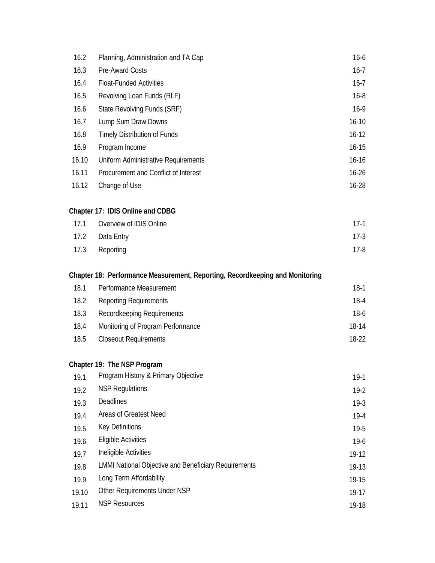| 16.2  | Planning, Administration and TA Cap  | $16 - 6$  |
|-------|--------------------------------------|-----------|
| 16.3  | Pre-Award Costs                      | $16 - 7$  |
| 16.4  | <b>Float-Funded Activities</b>       | $16 - 7$  |
| 16.5  | Revolving Loan Funds (RLF)           | $16 - 8$  |
| 16.6  | State Revolving Funds (SRF)          | $16-9$    |
| 16.7  | Lump Sum Draw Downs                  | $16 - 10$ |
| 16.8  | Timely Distribution of Funds         | $16 - 12$ |
| 16.9  | Program Income                       | $16 - 15$ |
| 16.10 | Uniform Administrative Requirements  | $16 - 16$ |
| 16.11 | Procurement and Conflict of Interest | $16 - 26$ |
| 16.12 | Change of Use                        | 16-28     |

### **Chapter 17: IDIS Online and CDBG**

| 17.1 Overview of IDIS Online | 17-1   |
|------------------------------|--------|
| 17.2 Data Entry              | $17-3$ |
| 17.3 Reporting               | 17-8   |

### **Chapter 18: Performance Measurement, Reporting, Recordkeeping and Monitoring**

| 18.1 | Performance Measurement           | $18-1$  |
|------|-----------------------------------|---------|
| 18.2 | <b>Reporting Requirements</b>     | 18-4    |
| 18.3 | Recordkeeping Requirements        | $18-6$  |
| 18.4 | Monitoring of Program Performance | $18-14$ |
| 18.5 | <b>Closeout Requirements</b>      | 18-22   |

#### **Chapter 19: The NSP Program**

| 19.1  | Program History & Primary Objective                         | $19-1$    |
|-------|-------------------------------------------------------------|-----------|
| 19.2  | <b>NSP Regulations</b>                                      | $19-2$    |
| 19.3  | <b>Deadlines</b>                                            | $19-3$    |
| 19.4  | Areas of Greatest Need                                      | $19-4$    |
| 19.5  | Key Definitions                                             | $19-5$    |
| 19.6  | Eligible Activities                                         | $19-6$    |
| 19.7  | Ineligible Activities                                       | 19-12     |
| 19.8  | <b>LMMI National Objective and Beneficiary Requirements</b> | 19-13     |
| 19.9  | Long Term Affordability                                     | $19 - 15$ |
| 19.10 | Other Requirements Under NSP                                | $19-17$   |
| 19.11 | <b>NSP Resources</b>                                        | 19-18     |
|       |                                                             |           |